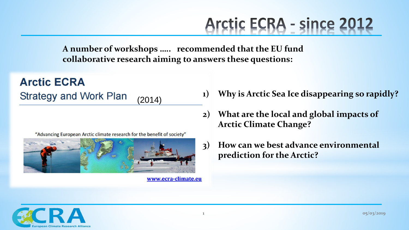## Arctic ECRA - since 2012

**A number of workshops ….. recommended that the EU fund collaborative research aiming to answers these questions:** 

**Arctic ECRA Strategy and Work Plan** (2014)

"Advancing European Arctic climate research for the benefit of society"



www.ecra-climate.eu

- **1) Why is Arctic Sea Ice disappearing so rapidly?**
- **2) What are the local and global impacts of Arctic Climate Change?**
- **3) How can we best advance environmental prediction for the Arctic?**

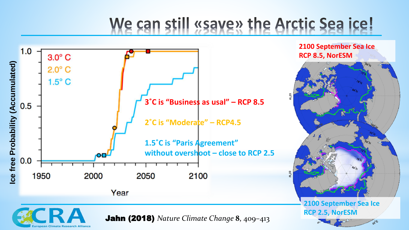## We can still «save» the Arctic Sea ice!



**2100 September Sea Ice RCP 8.5, NorESM**



**2100 September Sea Ice RCP 2.5, NorESM**

300

Jahn (2018) *Nature Climate Change*  **8** , 409 –413

uropean Climate Research Alliance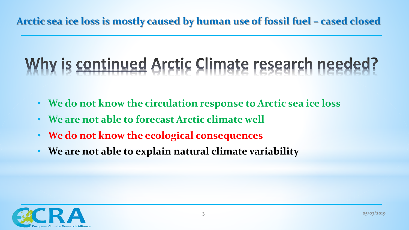## Why is continued Arctic Climate research needed?

- **We do not know the circulation response to Arctic sea ice loss**
- **We are not able to forecast Arctic climate well**
- **We do not know the ecological consequences**
- **We are not able to explain natural climate variability**